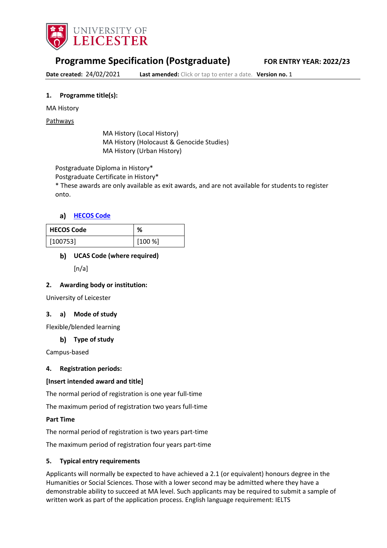

# **Programme Specification (Postgraduate) FOR ENTRY YEAR: 2022/23**

**Date created:** 24/02/2021 **Last amended:** Click or tap to enter a date. **Version no.** 1

#### **1. Programme title(s):**

#### MA History

Pathways

MA History (Local History) MA History (Holocaust & Genocide Studies) MA History (Urban History)

Postgraduate Diploma in History\*

Postgraduate Certificate in History\*

\* These awards are only available as exit awards, and are not available for students to register onto.

## **[HECOS Code](https://www.hesa.ac.uk/innovation/hecos)**

| <b>HECOS Code</b> | %      |  |
|-------------------|--------|--|
| [100753]          | [100%] |  |

# **UCAS Code (where required)**

 $[n/a]$ 

#### **2. Awarding body or institution:**

University of Leicester

#### **3. a) Mode of study**

Flexible/blended learning

#### **Type of study**

Campus-based

#### **4. Registration periods:**

#### **[Insert intended award and title]**

The normal period of registration is one year full-time

The maximum period of registration two years full-time

#### **Part Time**

The normal period of registration is two years part-time

The maximum period of registration four years part-time

#### **5. Typical entry requirements**

Applicants will normally be expected to have achieved a 2.1 (or equivalent) honours degree in the Humanities or Social Sciences. Those with a lower second may be admitted where they have a demonstrable ability to succeed at MA level. Such applicants may be required to submit a sample of written work as part of the application process. English language requirement: IELTS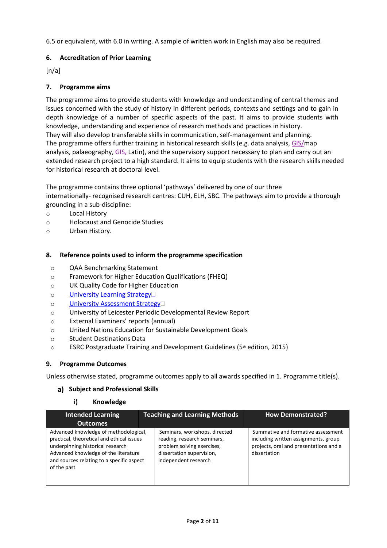6.5 or equivalent, with 6.0 in writing. A sample of written work in English may also be required.

# **6. Accreditation of Prior Learning**

 $[n/a]$ 

# **7. Programme aims**

The programme aims to provide students with knowledge and understanding of central themes and issues concerned with the study of history in different periods, contexts and settings and to gain in depth knowledge of a number of specific aspects of the past. It aims to provide students with knowledge, understanding and experience of research methods and practices in history. They will also develop transferable skills in communication, self-management and planning. The programme offers further training in historical research skills (e.g. data analysis, GIS/map analysis, palaeography, GIS, Latin), and the supervisory support necessary to plan and carry out an extended research project to a high standard. It aims to equip students with the research skills needed for historical research at doctoral level.

The programme contains three optional 'pathways' delivered by one of our three internationally- recognised research centres: CUH, ELH, SBC. The pathways aim to provide a thorough grounding in a sub-discipline:

- o Local History
- o Holocaust and Genocide Studies
- o Urban History.

# **8. Reference points used to inform the programme specification**

- o QAA Benchmarking Statement
- o Framework for Higher Education Qualifications (FHEQ)
- o UK Quality Code for Higher Education
- o University Learning [Strategy](https://www2.le.ac.uk/offices/sas2/quality/learnteach)
- o [University Assessment](https://www2.le.ac.uk/offices/sas2/quality/learnteach) Strategy
- o University of Leicester Periodic Developmental Review Report
- o External Examiners' reports (annual)
- o United Nations Education for Sustainable Development Goals
- o Student Destinations Data
- $\circ$  ESRC Postgraduate Training and Development Guidelines (5th edition, 2015)

# **9. Programme Outcomes**

Unless otherwise stated, programme outcomes apply to all awards specified in 1. Programme title(s).

#### **Subject and Professional Skills**

#### **i) Knowledge**

| Intended Learning<br>Outcomes                                                                                                                                                                                              | <b>Teaching and Learning Methods</b>                                                                                                            | <b>How Demonstrated?</b>                                                                                                             |
|----------------------------------------------------------------------------------------------------------------------------------------------------------------------------------------------------------------------------|-------------------------------------------------------------------------------------------------------------------------------------------------|--------------------------------------------------------------------------------------------------------------------------------------|
| Advanced knowledge of methodological,<br>practical, theoretical and ethical issues<br>underpinning historical research<br>Advanced knowledge of the literature<br>and sources relating to a specific aspect<br>of the past | Seminars, workshops, directed<br>reading, research seminars,<br>problem solving exercises,<br>dissertation supervision,<br>independent research | Summative and formative assessment<br>including written assignments, group<br>projects, oral and presentations and a<br>dissertation |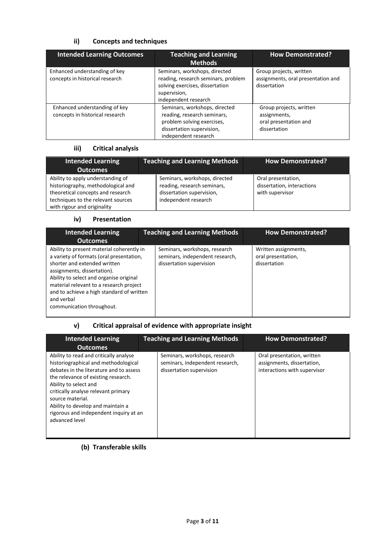# **ii) Concepts and techniques**

| <b>Intended Learning Outcomes</b>                                | <b>Teaching and Learning</b><br><b>Methods</b>                                                                                                  | <b>How Demonstrated?</b>                                                         |
|------------------------------------------------------------------|-------------------------------------------------------------------------------------------------------------------------------------------------|----------------------------------------------------------------------------------|
| Enhanced understanding of key<br>concepts in historical research | Seminars, workshops, directed<br>reading, research seminars, problem<br>solving exercises, dissertation<br>supervision,<br>independent research | Group projects, written<br>assignments, oral presentation and<br>dissertation    |
| Enhanced understanding of key<br>concepts in historical research | Seminars, workshops, directed<br>reading, research seminars,<br>problem solving exercises,<br>dissertation supervision,<br>independent research | Group projects, written<br>assignments,<br>oral presentation and<br>dissertation |

# **iii) Critical analysis**

| <b>Intended Learning</b><br><b>Outcomes</b>                                                                                                                                       | <b>Teaching and Learning Methods</b>                                                                              | <b>How Demonstrated?</b>                                            |
|-----------------------------------------------------------------------------------------------------------------------------------------------------------------------------------|-------------------------------------------------------------------------------------------------------------------|---------------------------------------------------------------------|
| Ability to apply understanding of<br>historiography, methodological and<br>theoretical concepts and research<br>techniques to the relevant sources<br>with rigour and originality | Seminars, workshops, directed<br>reading, research seminars,<br>dissertation supervision,<br>independent research | Oral presentation,<br>dissertation, interactions<br>with supervisor |

#### **iv) Presentation**

| <b>Intended Learning</b><br><b>Outcomes</b>                                                                                                                                                                                                                                                                                        | <b>Teaching and Learning Methods</b>                                                         | <b>How Demonstrated?</b>                                   |
|------------------------------------------------------------------------------------------------------------------------------------------------------------------------------------------------------------------------------------------------------------------------------------------------------------------------------------|----------------------------------------------------------------------------------------------|------------------------------------------------------------|
| Ability to present material coherently in<br>a variety of formats (oral presentation,<br>shorter and extended written<br>assignments, dissertation).<br>Ability to select and organise original<br>material relevant to a research project<br>and to achieve a high standard of written<br>and verbal<br>communication throughout. | Seminars, workshops, research<br>seminars, independent research,<br>dissertation supervision | Written assignments,<br>oral presentation,<br>dissertation |

# **v) Critical appraisal of evidence with appropriate insight**

| <b>Intended Learning</b>                                                                                                                                                                                                                                                                                                                              | <b>Teaching and Learning Methods</b>                                                         | <b>How Demonstrated?</b>                                                                 |
|-------------------------------------------------------------------------------------------------------------------------------------------------------------------------------------------------------------------------------------------------------------------------------------------------------------------------------------------------------|----------------------------------------------------------------------------------------------|------------------------------------------------------------------------------------------|
| <b>Outcomes</b>                                                                                                                                                                                                                                                                                                                                       |                                                                                              |                                                                                          |
| Ability to read and critically analyse<br>historiographical and methodological<br>debates in the literature and to assess<br>the relevance of existing research.<br>Ability to select and<br>critically analyse relevant primary<br>source material.<br>Ability to develop and maintain a<br>rigorous and independent inquiry at an<br>advanced level | Seminars, workshops, research<br>seminars, independent research,<br>dissertation supervision | Oral presentation, written<br>assignments, dissertation,<br>interactions with supervisor |

# **(b) Transferable skills**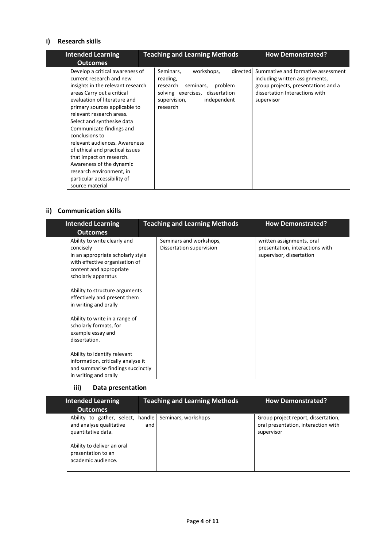## **i) Research skills**

ш

| <b>Intended Learning</b><br><b>Outcomes</b>                                                                                                                                                                                                                                                                                                                                                                                                                                                                       | <b>Teaching and Learning Methods</b>                                                                                                                              | <b>How Demonstrated?</b>                                                                                                                                    |
|-------------------------------------------------------------------------------------------------------------------------------------------------------------------------------------------------------------------------------------------------------------------------------------------------------------------------------------------------------------------------------------------------------------------------------------------------------------------------------------------------------------------|-------------------------------------------------------------------------------------------------------------------------------------------------------------------|-------------------------------------------------------------------------------------------------------------------------------------------------------------|
| Develop a critical awareness of<br>current research and new<br>insights in the relevant research<br>areas Carry out a critical<br>evaluation of literature and<br>primary sources applicable to<br>relevant research areas.<br>Select and synthesise data<br>Communicate findings and<br>conclusions to<br>relevant audiences. Awareness<br>of ethical and practical issues<br>that impact on research.<br>Awareness of the dynamic<br>research environment, in<br>particular accessibility of<br>source material | workshops,<br>directed<br>Seminars,<br>reading,<br>research<br>problem<br>seminars,<br>solving exercises, dissertation<br>independent<br>supervision,<br>research | Summative and formative assessment<br>including written assignments,<br>group projects, presentations and a<br>dissertation Interactions with<br>supervisor |

## **ii) Communication skills**

| <b>Intended Learning</b>                                                                                                                                                                                                                                                                                                                                                                                                                                                                      | <b>Teaching and Learning Methods</b>                |  | <b>How Demonstrated?</b>                                                                 |
|-----------------------------------------------------------------------------------------------------------------------------------------------------------------------------------------------------------------------------------------------------------------------------------------------------------------------------------------------------------------------------------------------------------------------------------------------------------------------------------------------|-----------------------------------------------------|--|------------------------------------------------------------------------------------------|
| <b>Outcomes</b><br>Ability to write clearly and<br>concisely<br>in an appropriate scholarly style<br>with effective organisation of<br>content and appropriate<br>scholarly apparatus<br>Ability to structure arguments<br>effectively and present them<br>in writing and orally<br>Ability to write in a range of<br>scholarly formats, for<br>example essay and<br>dissertation.<br>Ability to identify relevant<br>information, critically analyse it<br>and summarise findings succinctly | Seminars and workshops,<br>Dissertation supervision |  | written assignments, oral<br>presentation, interactions with<br>supervisor, dissertation |
| in writing and orally                                                                                                                                                                                                                                                                                                                                                                                                                                                                         |                                                     |  |                                                                                          |

# **iii) Data presentation**

| <b>Intended Learning</b>                                                                                                | <b>Teaching and Learning Methods</b>                         | <b>How Demonstrated?</b>                                                                 |
|-------------------------------------------------------------------------------------------------------------------------|--------------------------------------------------------------|------------------------------------------------------------------------------------------|
| <b>Outcomes</b>                                                                                                         |                                                              |                                                                                          |
| and analyse qualitative<br>quantitative data.<br>Ability to deliver an oral<br>presentation to an<br>academic audience. | Ability to gather, select, handle Seminars, workshops<br>and | Group project report, dissertation,<br>oral presentation, interaction with<br>supervisor |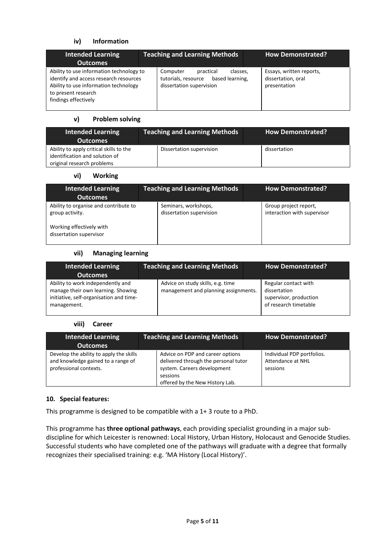# **iv) Information**

| <b>Intended Learning</b><br><b>Outcomes</b>                                                                                                                                | <b>Teaching and Learning Methods</b>                                                                 | <b>How Demonstrated?</b>                                       |
|----------------------------------------------------------------------------------------------------------------------------------------------------------------------------|------------------------------------------------------------------------------------------------------|----------------------------------------------------------------|
| Ability to use information technology to<br>identify and access research resources<br>Ability to use information technology<br>to present research<br>findings effectively | Computer<br>practical<br>classes,<br>tutorials, resource based learning,<br>dissertation supervision | Essays, written reports,<br>dissertation, oral<br>presentation |

#### **v) Problem solving**

| <b>Intended Learning</b><br>Outcomes                                                                    | <b>Teaching and Learning Methods</b> | <b>How Demonstrated?</b> |
|---------------------------------------------------------------------------------------------------------|--------------------------------------|--------------------------|
| Ability to apply critical skills to the<br>identification and solution of<br>original research problems | Dissertation supervision             | dissertation             |

## **vi) Working**

| <b>Intended Learning</b><br><b>Outcomes</b>                                                                     | <b>Teaching and Learning Methods</b>             | <b>How Demonstrated?</b>                             |
|-----------------------------------------------------------------------------------------------------------------|--------------------------------------------------|------------------------------------------------------|
| Ability to organise and contribute to<br>group activity.<br>Working effectively with<br>dissertation supervisor | Seminars, workshops,<br>dissertation supervision | Group project report,<br>interaction with supervisor |

#### **vii) Managing learning**

| Intended Learning<br><b>Outcomes</b>                                                                                              | <b>Teaching and Learning Methods</b>                                      | <b>How Demonstrated?</b>                                                                |
|-----------------------------------------------------------------------------------------------------------------------------------|---------------------------------------------------------------------------|-----------------------------------------------------------------------------------------|
| Ability to work independently and<br>manage their own learning. Showing<br>initiative, self-organisation and time-<br>management. | Advice on study skills, e.g. time<br>management and planning assignments. | Regular contact with<br>dissertation<br>supervisor, production<br>of research timetable |

#### **viii) Career**

| <b>Intended Learning</b><br><b>Outcomes</b>                                                             | <b>Teaching and Learning Methods</b>                                                                                                                   | <b>How Demonstrated?</b>                                    |
|---------------------------------------------------------------------------------------------------------|--------------------------------------------------------------------------------------------------------------------------------------------------------|-------------------------------------------------------------|
| Develop the ability to apply the skills<br>and knowledge gained to a range of<br>professional contexts. | Advice on PDP and career options<br>delivered through the personal tutor<br>system. Careers development<br>sessions<br>offered by the New History Lab. | Individual PDP portfolios.<br>Attendance at NHL<br>sessions |

#### **10. Special features:**

This programme is designed to be compatible with a 1+ 3 route to a PhD.

This programme has **three optional pathways**, each providing specialist grounding in a major subdiscipline for which Leicester is renowned: Local History, Urban History, Holocaust and Genocide Studies. Successful students who have completed one of the pathways will graduate with a degree that formally recognizes their specialised training: e.g. 'MA History (Local History)'.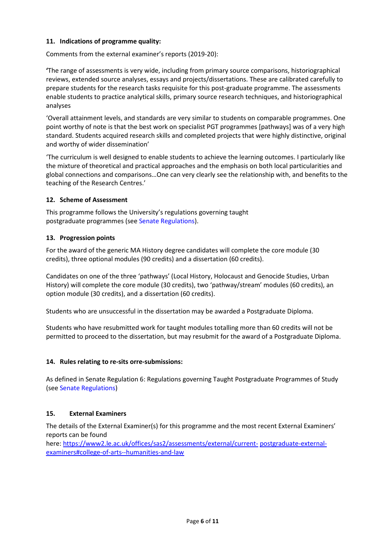## **11. Indications of programme quality:**

Comments from the external examiner's reports (2019-20):

**'**The range of assessments is very wide, including from primary source comparisons, historiographical reviews, extended source analyses, essays and projects/dissertations. These are calibrated carefully to prepare students for the research tasks requisite for this post-graduate programme. The assessments enable students to practice analytical skills, primary source research techniques, and historiographical analyses

'Overall attainment levels, and standards are very similar to students on comparable programmes. One point worthy of note is that the best work on specialist PGT programmes [pathways] was of a very high standard. Students acquired research skills and completed projects that were highly distinctive, original and worthy of wider dissemination'

'The curriculum is well designed to enable students to achieve the learning outcomes. I particularly like the mixture of theoretical and practical approaches and the emphasis on both local particularities and global connections and comparisons…One can very clearly see the relationship with, and benefits to the teaching of the Research Centres.'

## **12. Scheme of Assessment**

This programme follows the University's regulations governing taught postgraduate programmes (see Senate Regulations).

## **13. Progression points**

For the award of the generic MA History degree candidates will complete the core module (30 credits), three optional modules (90 credits) and a dissertation (60 credits).

Candidates on one of the three 'pathways' (Local History, Holocaust and Genocide Studies, Urban History) will complete the core module (30 credits), two 'pathway/stream' modules (60 credits), an option module (30 credits), and a dissertation (60 credits).

Students who are unsuccessful in the dissertation may be awarded a Postgraduate Diploma.

Students who have resubmitted work for taught modules totalling more than 60 credits will not be permitted to proceed to the dissertation, but may resubmit for the award of a Postgraduate Diploma.

#### **14. Rules relating to re-sits orre-submissions:**

As defined in Senate Regulation 6: Regulations governing Taught Postgraduate Programmes of Study (see Senate Regulations)

# **15. External Examiners**

The details of the External Examiner(s) for this programme and the most recent External Examiners' reports can be found

here: [https://www2.le.ac.uk/offices/sas2/assessments/external/current-](https://www2.le.ac.uk/offices/sas2/assessments/external/current-postgraduate-external-examiners#college-of-arts--humanities-and-law) [postgraduate-external](https://www2.le.ac.uk/offices/sas2/assessments/external/current-postgraduate-external-examiners#college-of-arts--humanities-and-law)[examiners#college-of-arts--humanities-and-law](https://www2.le.ac.uk/offices/sas2/assessments/external/current-postgraduate-external-examiners#college-of-arts--humanities-and-law)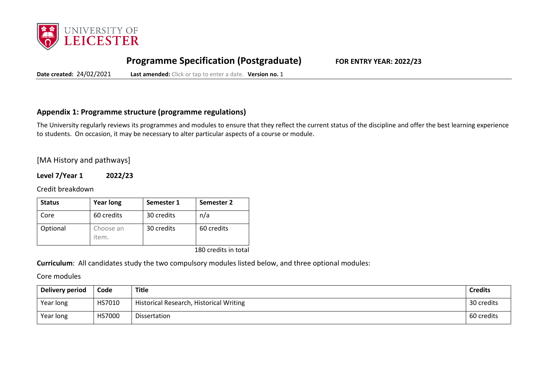

# **Programme Specification (Postgraduate) FOR ENTRY YEAR: 2022/23**

**Date created:** 24/02/2021 **Last amended:** Click or tap to enter a date. **Version no.** 1

# **Appendix 1: Programme structure (programme regulations)**

The University regularly reviews its programmes and modules to ensure that they reflect the current status of the discipline and offer the best learning experience to students. On occasion, it may be necessary to alter particular aspects of a course or module.

# [MA History and pathways]

**Level 7/Year 1 2022/23**

Credit breakdown

| <b>Status</b> | <b>Year long</b>   | Semester 1 | Semester 2 |
|---------------|--------------------|------------|------------|
| Core          | 60 credits         | 30 credits | n/a        |
| Optional      | Choose an<br>item. | 30 credits | 60 credits |

180 credits in total

**Curriculum**: All candidates study the two compulsory modules listed below, and three optional modules:

Core modules

| Delivery period | Code   | Title                                   | <b>Credits</b> |
|-----------------|--------|-----------------------------------------|----------------|
| Year long       | HS7010 | Historical Research, Historical Writing | 30 credits     |
| Year long       | HS7000 | Dissertation                            | 60 credits     |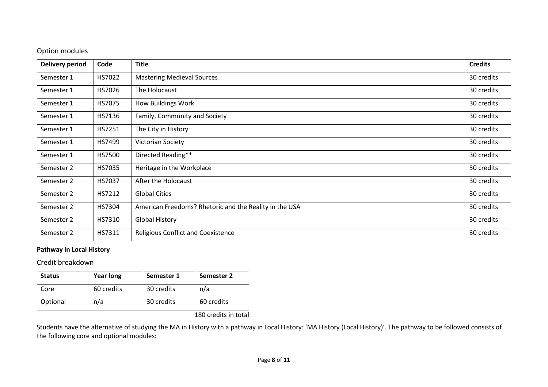# Option modules

| Delivery period | Code          | <b>Title</b>                                           | <b>Credits</b> |
|-----------------|---------------|--------------------------------------------------------|----------------|
| Semester 1      | HS7022        | <b>Mastering Medieval Sources</b>                      | 30 credits     |
| Semester 1      | HS7026        | The Holocaust                                          | 30 credits     |
| Semester 1      | <b>HS7075</b> | <b>How Buildings Work</b>                              | 30 credits     |
| Semester 1      | HS7136        | Family, Community and Society                          | 30 credits     |
| Semester 1      | HS7251        | The City in History                                    | 30 credits     |
| Semester 1      | HS7499        | Victorian Society                                      | 30 credits     |
| Semester 1      | <b>HS7500</b> | Directed Reading**                                     | 30 credits     |
| Semester 2      | HS7035        | Heritage in the Workplace                              | 30 credits     |
| Semester 2      | HS7037        | After the Holocaust                                    | 30 credits     |
| Semester 2      | HS7212        | <b>Global Cities</b>                                   | 30 credits     |
| Semester 2      | HS7304        | American Freedoms? Rhetoric and the Reality in the USA | 30 credits     |
| Semester 2      | HS7310        | <b>Global History</b>                                  | 30 credits     |
| Semester 2      | HS7311        | <b>Religious Conflict and Coexistence</b>              | 30 credits     |

# **Pathway in Local History**

Credit breakdown

| <b>Status</b> | <b>Year long</b> | Semester 1 | <b>Semester 2</b> |
|---------------|------------------|------------|-------------------|
| Core          | 60 credits       | 30 credits | n/a               |
| Optional      | n/a              | 30 credits | 60 credits        |

180 credits in total

Students have the alternative of studying the MA in History with a pathway in Local History: 'MA History (Local History)'. The pathway to be followed consists of the following core and optional modules: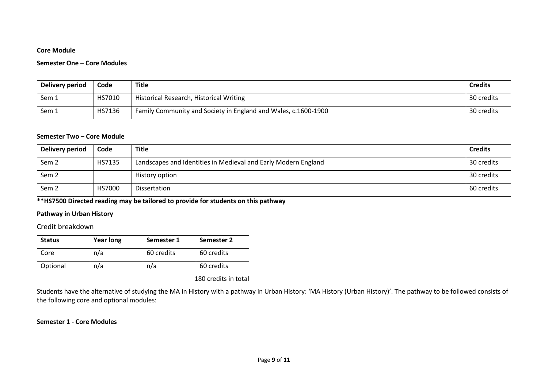## **Core Module**

#### **Semester One – Core Modules**

| Delivery period | Code   | Title                                                          | <b>Credits</b> |
|-----------------|--------|----------------------------------------------------------------|----------------|
| Sem 1           | HS7010 | Historical Research, Historical Writing                        | 30 credits     |
| Sem 1           | HS7136 | Family Community and Society in England and Wales, c.1600-1900 | 30 credits     |

#### **Semester Two – Core Module**

| Delivery period  | Code          | <b>Title</b>                                                   | <b>Credits</b> |
|------------------|---------------|----------------------------------------------------------------|----------------|
| Sem <sub>2</sub> | HS7135        | Landscapes and Identities in Medieval and Early Modern England | 30 credits     |
| Sem <sub>2</sub> |               | History option                                                 | 30 credits     |
| Sem <sub>2</sub> | <b>HS7000</b> | Dissertation                                                   | 60 credits     |

**\*\*HS7500 Directed reading may be tailored to provide for students on this pathway**

# **Pathway in Urban History**

## Credit breakdown

| <b>Status</b> | <b>Year long</b> | Semester 1 | Semester 2 |
|---------------|------------------|------------|------------|
| Core          | n/a              | 60 credits | 60 credits |
| Optional      | n/a              | n/a        | 60 credits |

180 credits in total

Students have the alternative of studying the MA in History with a pathway in Urban History: 'MA History (Urban History)'. The pathway to be followed consists of the following core and optional modules:

#### **Semester 1 - Core Modules**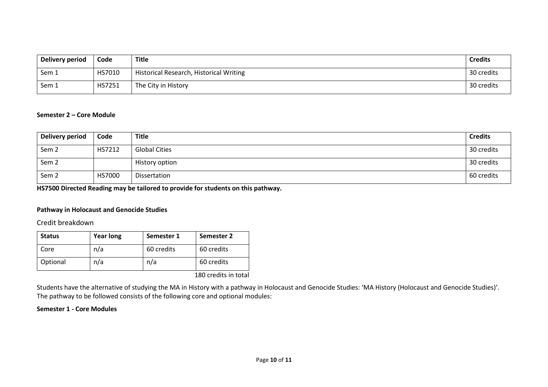| Delivery period | Code   | Title                                   | <b>Credits</b> |
|-----------------|--------|-----------------------------------------|----------------|
| Sem 1           | HS7010 | Historical Research, Historical Writing | 30 credits     |
| Sem 1           | HS7251 | The City in History                     | 30 credits     |

#### **Semester 2 – Core Module**

| Delivery period  | Code   | Title                | <b>Credits</b> |
|------------------|--------|----------------------|----------------|
| Sem <sub>2</sub> | HS7212 | <b>Global Cities</b> | 30 credits     |
| Sem <sub>2</sub> |        | History option       | 30 credits     |
| Sem <sub>2</sub> | HS7000 | Dissertation         | 60 credits     |

**HS7500 Directed Reading may be tailored to provide for students on this pathway.**

## **Pathway in Holocaust and Genocide Studies**

# Credit breakdown

| <b>Status</b> | <b>Year long</b> | Semester 1 | Semester 2 |
|---------------|------------------|------------|------------|
| Core          | n/a              | 60 credits | 60 credits |
| Optional      | n/a              | n/a        | 60 credits |

180 credits in total

Students have the alternative of studying the MA in History with a pathway in Holocaust and Genocide Studies: 'MA History (Holocaust and Genocide Studies)'. The pathway to be followed consists of the following core and optional modules:

#### **Semester 1 - Core Modules**